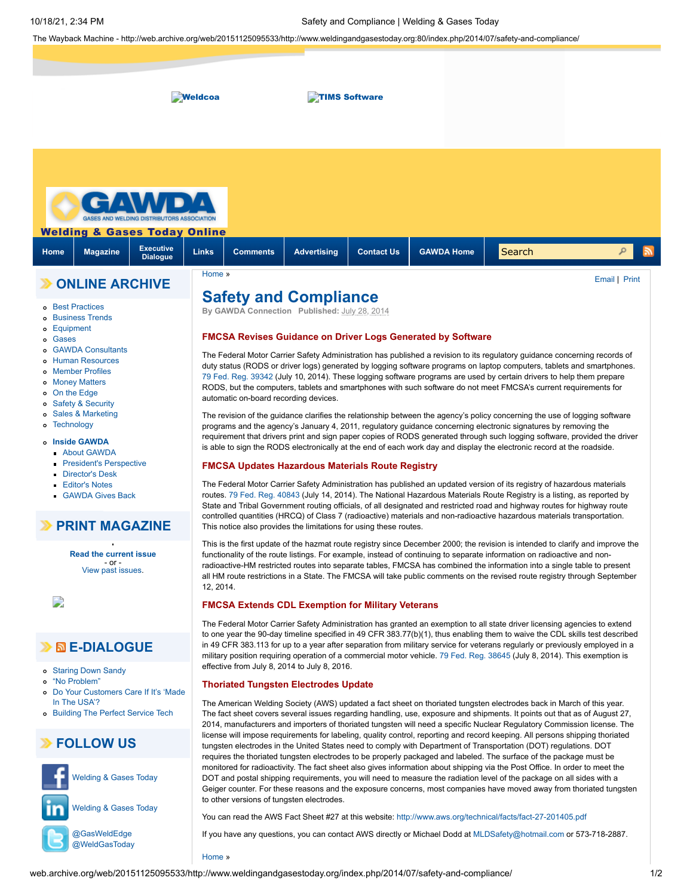The Wayback Machine - http://web.archive.org/web/20151125095533/http://www.weldingandgasestoday.org:80/index.php/2014/07/safety-and-compliance/



[Home](http://web.archive.org/web/20151125095533/http://www.weldingandgasestoday.org/) »

[@WeldGasToday](http://web.archive.org/web/20151125095533/http://twitter.com/WeldGasToday)